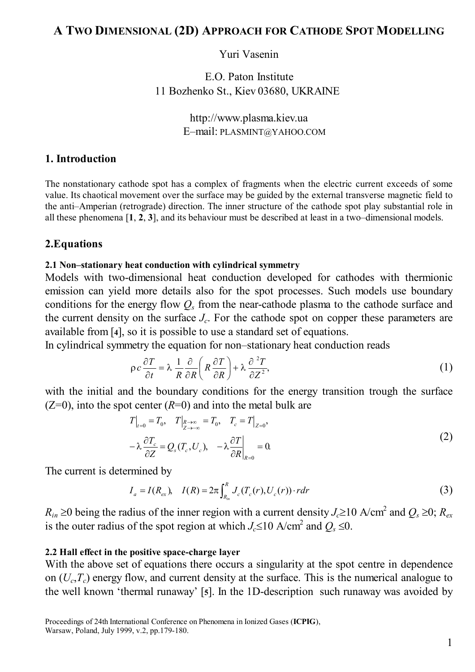# **A TWO DIMENSIONAL (2D) APPROACH FOR CATHODE SPOT MODELLING**

### Yuri Vasenin

E.O. Paton Institute 11 Bozhenko St., Kiev 03680, UKRAINE

> http://www.plasma.kiev.ua E–mail: PLASMINT@YAHOO.COM

### **1. Introduction**

The nonstationary cathode spot has a complex of fragments when the electric current exceeds of some value. Its chaotical movement over the surface may be guided by the external transverse magnetic field to the anti–Amperian (retrograde) direction. The inner structure of the cathode spot play substantial role in all these phenomena [**1**, **2**, **3**], and its behaviour must be described at least in a two–dimensional models.

### **2.Equations**

### **2.1 Non–stationary heat conduction with cylindrical symmetry**

Models with two-dimensional heat conduction developed for cathodes with thermionic emission can yield more details also for the spot processes. Such models use boundary conditions for the energy flow  $Q<sub>s</sub>$  from the near-cathode plasma to the cathode surface and the current density on the surface *Jc*. For the cathode spot on copper these parameters are available from [**4**], so it is possible to use a standard set of equations.

In cylindrical symmetry the equation for non–stationary heat conduction reads

$$
\rho c \frac{\partial T}{\partial t} = \lambda \frac{1}{R} \frac{\partial}{\partial R} \left( R \frac{\partial T}{\partial R} \right) + \lambda \frac{\partial^2 T}{\partial Z^2},\tag{1}
$$

with the initial and the boundary conditions for the energy transition trough the surface  $(Z=0)$ , into the spot center  $(R=0)$  and into the metal bulk are

$$
T\Big|_{t=0} = T_0, \quad T\Big|_{\substack{R \to \infty \\ \partial Z}} = T_0, \quad T_c = T\Big|_{Z=0},
$$
  

$$
-\lambda \frac{\partial T_c}{\partial Z} = Q_s(T_c, U_c), \quad -\lambda \frac{\partial T}{\partial R}\Big|_{R=0} = 0.
$$
 (2)

The current is determined by

$$
I_a = I(R_{ex}), \quad I(R) = 2\pi \int_{R_{in}}^R J_c(T_c(r), U_c(r)) \cdot r dr \tag{3}
$$

 $R_{in}$  ≥0 being the radius of the inner region with a current density *J<sub>c</sub>*≥10 A/cm<sup>2</sup> and  $Q_s$  ≥0;  $R_{ex}$ is the outer radius of the spot region at which  $J_c \le 10$  A/cm<sup>2</sup> and  $Q_s \le 0$ .

#### **2.2 Hall effect in the positive space-charge layer**

With the above set of equations there occurs a singularity at the spot centre in dependence on  $(U_c, T_c)$  energy flow, and current density at the surface. This is the numerical analogue to the well known 'thermal runaway' [**5**]. In the 1D-description such runaway was avoided by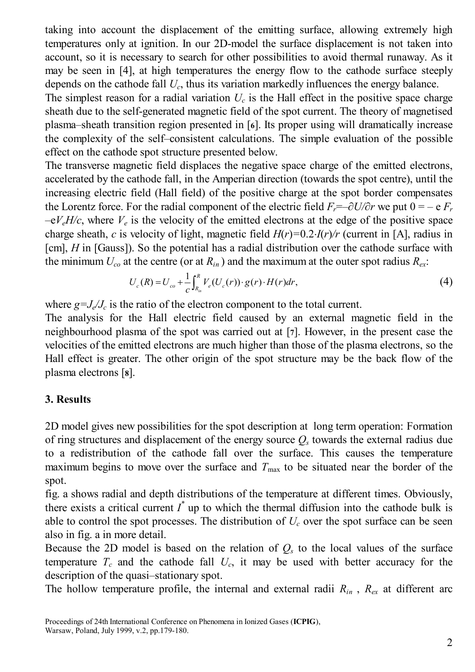taking into account the displacement of the emitting surface, allowing extremely high temperatures only at ignition. In our 2D-model the surface displacement is not taken into account, so it is necessary to search for other possibilities to avoid thermal runaway. As it may be seen in [4], at high temperatures the energy flow to the cathode surface steeply depends on the cathode fall *Uc*, thus its variation markedly influences the energy balance.

The simplest reason for a radial variation  $U_c$  is the Hall effect in the positive space charge sheath due to the self-generated magnetic field of the spot current. The theory of magnetised plasma–sheath transition region presented in [**6**]. Its proper using will dramatically increase the complexity of the self–consistent calculations. The simple evaluation of the possible effect on the cathode spot structure presented below.

The transverse magnetic field displaces the negative space charge of the emitted electrons, accelerated by the cathode fall, in the Amperian direction (towards the spot centre), until the increasing electric field (Hall field) of the positive charge at the spot border compensates the Lorentz force. For the radial component of the electric field  $F_r = -\frac{\partial U}{\partial r}$  we put  $0 = -e F_r$  $-eV<sub>e</sub>H/c$ , where  $V<sub>e</sub>$  is the velocity of the emitted electrons at the edge of the positive space charge sheath, *c* is velocity of light, magnetic field  $H(r)=0.2\text{·}I(r)/r$  (current in [A], radius in [cm], *H* in [Gauss]). So the potential has a radial distribution over the cathode surface with the minimum  $U_{co}$  at the centre (or at  $R_{in}$ ) and the maximum at the outer spot radius  $R_{ex}$ .

$$
U_c(R) = U_{co} + \frac{1}{c} \int_{R_{in}}^{R} V_e(U_c(r)) \cdot g(r) \cdot H(r) dr,
$$
\n(4)

where  $g = J_e/J_c$  is the ratio of the electron component to the total current.

The analysis for the Hall electric field caused by an external magnetic field in the neighbourhood plasma of the spot was carried out at [**7**]. However, in the present case the velocities of the emitted electrons are much higher than those of the plasma electrons, so the Hall effect is greater. The other origin of the spot structure may be the back flow of the plasma electrons [**8**].

# **3. Results**

2D model gives new possibilities for the spot description at long term operation: Formation of ring structures and displacement of the energy source  $Q<sub>s</sub>$  towards the external radius due to a redistribution of the cathode fall over the surface. This causes the temperature maximum begins to move over the surface and  $T_{\text{max}}$  to be situated near the border of the spot.

fig. a shows radial and depth distributions of the temperature at different times. Obviously, there exists a critical current  $I^*$  up to which the thermal diffusion into the cathode bulk is able to control the spot processes. The distribution of  $U_c$  over the spot surface can be seen also in fig. a in more detail.

Because the 2D model is based on the relation of  $Q<sub>s</sub>$  to the local values of the surface temperature  $T_c$  and the cathode fall  $U_c$ , it may be used with better accuracy for the description of the quasi–stationary spot.

The hollow temperature profile, the internal and external radii  $R_{in}$ ,  $R_{ex}$  at different arc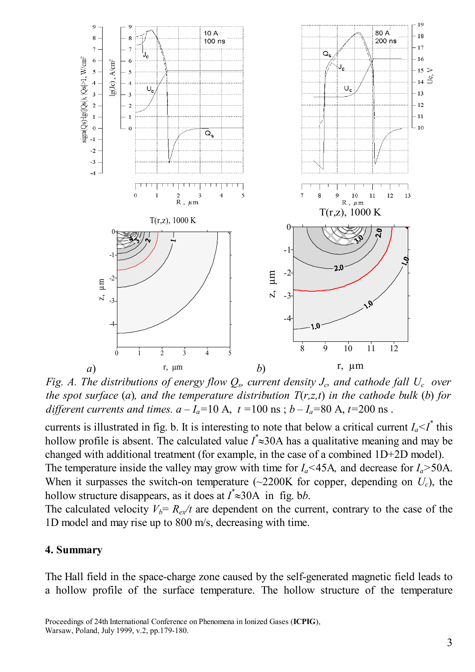

*Fig. A. The distributions of energy flow*  $Q_s$ *, current density*  $J_c$ *, and cathode fall*  $U_c$  *over the spot surface (a), and the temperature distribution*  $T(r,z,t)$  *in the cathode bulk (b) for different currents and times.*  $a - I_a = 10$  A,  $t = 100$  ns;  $b - I_a = 80$  A,  $t = 200$  ns.

currents is illustrated in fig. b. It is interesting to note that below a critical current  $I_a \leq I^*$  this hollow profile is absent. The calculated value *I \** ≈30A has a qualitative meaning and may be changed with additional treatment (for example, in the case of a combined 1D+2D model). The temperature inside the valley may grow with time for  $I_a$ <45A, and decrease for  $I_a$ >50A. When it surpasses the switch-on temperature  $\left(\sim 2200K\right)$  for copper, depending on  $U_c$ ), the hollow structure disappears, as it does at *I \** ≈30A in fig. b*b*.

The calculated velocity  $V_b = R_{ex}/t$  are dependent on the current, contrary to the case of the 1D model and may rise up to 800 m/s, decreasing with time.

### **4. Summary**

The Hall field in the space-charge zone caused by the self-generated magnetic field leads to a hollow profile of the surface temperature. The hollow structure of the temperature